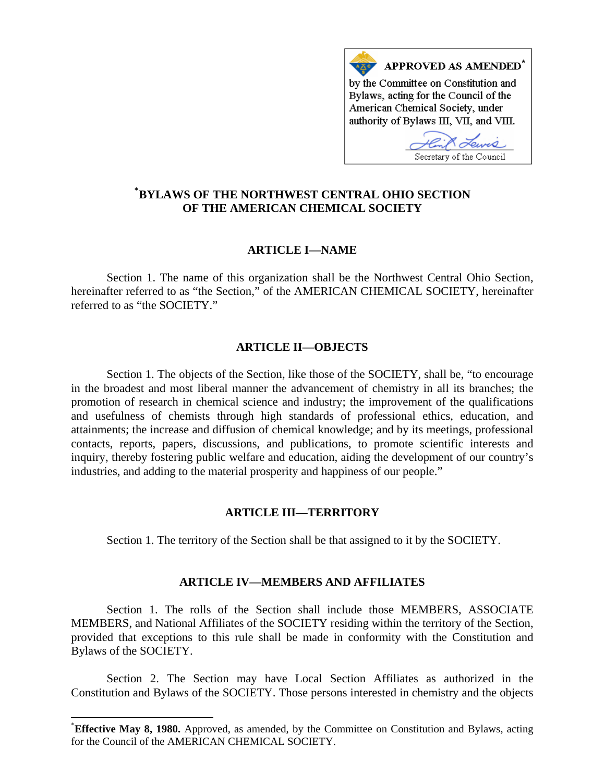

# **\* [BYLAWS OF THE NORTHWEST CENTRAL OHIO SECTION](#page-0-0)  OF THE AMERICAN CHEMICAL SOCIETY**

## **ARTICLE I—NAME**

 Section 1. The name of this organization shall be the Northwest Central Ohio Section, hereinafter referred to as "the Section," of the AMERICAN CHEMICAL SOCIETY, hereinafter referred to as "the SOCIETY."

#### **ARTICLE II—OBJECTS**

 Section 1. The objects of the Section, like those of the SOCIETY, shall be, "to encourage in the broadest and most liberal manner the advancement of chemistry in all its branches; the promotion of research in chemical science and industry; the improvement of the qualifications and usefulness of chemists through high standards of professional ethics, education, and attainments; the increase and diffusion of chemical knowledge; and by its meetings, professional contacts, reports, papers, discussions, and publications, to promote scientific interests and inquiry, thereby fostering public welfare and education, aiding the development of our country's industries, and adding to the material prosperity and happiness of our people."

## **ARTICLE III—TERRITORY**

Section 1. The territory of the Section shall be that assigned to it by the SOCIETY.

## **ARTICLE IV—MEMBERS AND AFFILIATES**

 Section 1. The rolls of the Section shall include those MEMBERS, ASSOCIATE MEMBERS, and National Affiliates of the SOCIETY residing within the territory of the Section, provided that exceptions to this rule shall be made in conformity with the Constitution and Bylaws of the SOCIETY.

 Section 2. The Section may have Local Section Affiliates as authorized in the Constitution and Bylaws of the SOCIETY. Those persons interested in chemistry and the objects

 $\overline{a}$ 

<span id="page-0-0"></span><sup>\*</sup> **Effective May 8, 1980.** Approved, as amended, by the Committee on Constitution and Bylaws, acting for the Council of the AMERICAN CHEMICAL SOCIETY.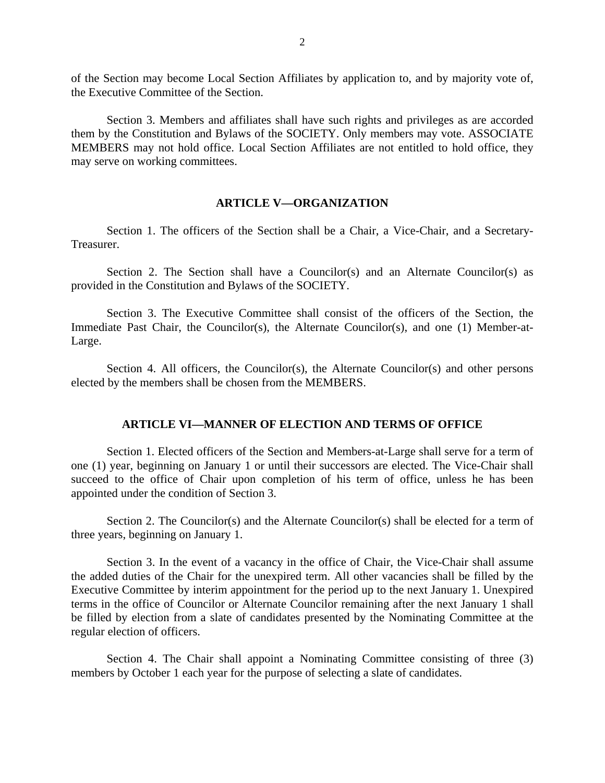of the Section may become Local Section Affiliates by application to, and by majority vote of, the Executive Committee of the Section.

 Section 3. Members and affiliates shall have such rights and privileges as are accorded them by the Constitution and Bylaws of the SOCIETY. Only members may vote. ASSOCIATE MEMBERS may not hold office. Local Section Affiliates are not entitled to hold office, they may serve on working committees.

#### **ARTICLE V—ORGANIZATION**

 Section 1. The officers of the Section shall be a Chair, a Vice-Chair, and a Secretary-Treasurer.

Section 2. The Section shall have a Councilor(s) and an Alternate Councilor(s) as provided in the Constitution and Bylaws of the SOCIETY.

 Section 3. The Executive Committee shall consist of the officers of the Section, the Immediate Past Chair, the Councilor(s), the Alternate Councilor(s), and one (1) Member-at-Large.

Section 4. All officers, the Councilor(s), the Alternate Councilor(s) and other persons elected by the members shall be chosen from the MEMBERS.

## **ARTICLE VI—MANNER OF ELECTION AND TERMS OF OFFICE**

 Section 1. Elected officers of the Section and Members-at-Large shall serve for a term of one (1) year, beginning on January 1 or until their successors are elected. The Vice-Chair shall succeed to the office of Chair upon completion of his term of office, unless he has been appointed under the condition of Section 3.

 Section 2. The Councilor(s) and the Alternate Councilor(s) shall be elected for a term of three years, beginning on January 1.

 Section 3. In the event of a vacancy in the office of Chair, the Vice-Chair shall assume the added duties of the Chair for the unexpired term. All other vacancies shall be filled by the Executive Committee by interim appointment for the period up to the next January 1. Unexpired terms in the office of Councilor or Alternate Councilor remaining after the next January 1 shall be filled by election from a slate of candidates presented by the Nominating Committee at the regular election of officers.

 Section 4. The Chair shall appoint a Nominating Committee consisting of three (3) members by October 1 each year for the purpose of selecting a slate of candidates.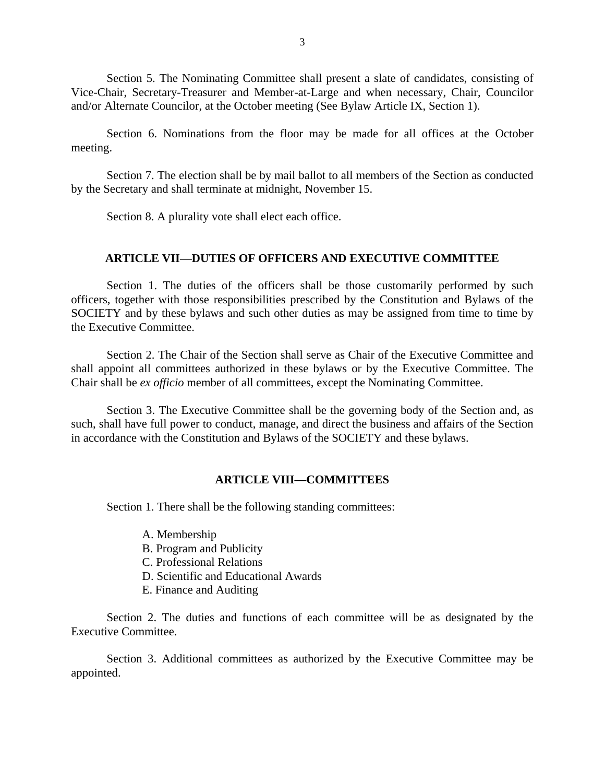Section 5. The Nominating Committee shall present a slate of candidates, consisting of Vice-Chair, Secretary-Treasurer and Member-at-Large and when necessary, Chair, Councilor and/or Alternate Councilor, at the October meeting (See Bylaw Article IX, Section 1).

 Section 6. Nominations from the floor may be made for all offices at the October meeting.

 Section 7. The election shall be by mail ballot to all members of the Section as conducted by the Secretary and shall terminate at midnight, November 15.

Section 8. A plurality vote shall elect each office.

#### **ARTICLE VII—DUTIES OF OFFICERS AND EXECUTIVE COMMITTEE**

 Section 1. The duties of the officers shall be those customarily performed by such officers, together with those responsibilities prescribed by the Constitution and Bylaws of the SOCIETY and by these bylaws and such other duties as may be assigned from time to time by the Executive Committee.

 Section 2. The Chair of the Section shall serve as Chair of the Executive Committee and shall appoint all committees authorized in these bylaws or by the Executive Committee. The Chair shall be *ex officio* member of all committees, except the Nominating Committee.

 Section 3. The Executive Committee shall be the governing body of the Section and, as such, shall have full power to conduct, manage, and direct the business and affairs of the Section in accordance with the Constitution and Bylaws of the SOCIETY and these bylaws.

### **ARTICLE VIII—COMMITTEES**

Section 1. There shall be the following standing committees:

- A. Membership
- B. Program and Publicity
- C. Professional Relations
- D. Scientific and Educational Awards
- E. Finance and Auditing

 Section 2. The duties and functions of each committee will be as designated by the Executive Committee.

 Section 3. Additional committees as authorized by the Executive Committee may be appointed.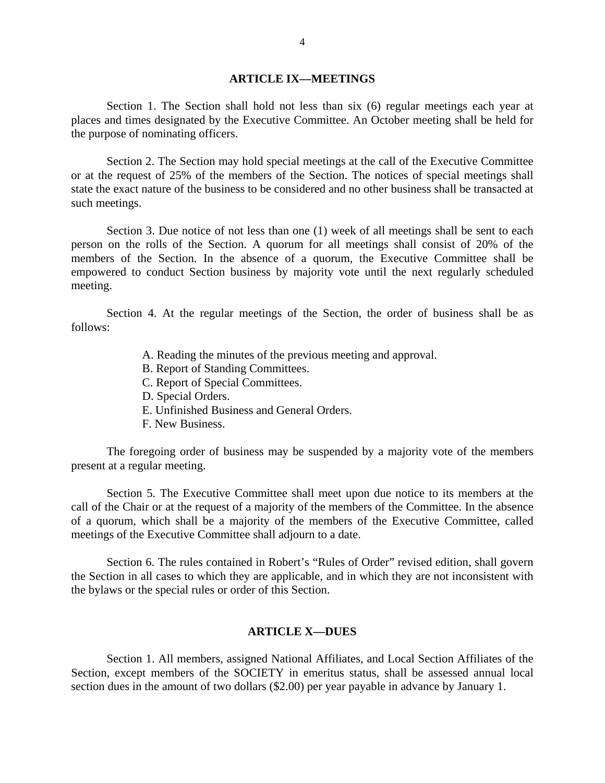## **ARTICLE IX—MEETINGS**

 Section 1. The Section shall hold not less than six (6) regular meetings each year at places and times designated by the Executive Committee. An October meeting shall be held for the purpose of nominating officers.

 Section 2. The Section may hold special meetings at the call of the Executive Committee or at the request of 25% of the members of the Section. The notices of special meetings shall state the exact nature of the business to be considered and no other business shall be transacted at such meetings.

 Section 3. Due notice of not less than one (1) week of all meetings shall be sent to each person on the rolls of the Section. A quorum for all meetings shall consist of 20% of the members of the Section. In the absence of a quorum, the Executive Committee shall be empowered to conduct Section business by majority vote until the next regularly scheduled meeting.

 Section 4. At the regular meetings of the Section, the order of business shall be as follows:

- A. Reading the minutes of the previous meeting and approval.
- B. Report of Standing Committees.
- C. Report of Special Committees.
- D. Special Orders.
- E. Unfinished Business and General Orders.
- F. New Business.

 The foregoing order of business may be suspended by a majority vote of the members present at a regular meeting.

 Section 5. The Executive Committee shall meet upon due notice to its members at the call of the Chair or at the request of a majority of the members of the Committee. In the absence of a quorum, which shall be a majority of the members of the Executive Committee, called meetings of the Executive Committee shall adjourn to a date.

 Section 6. The rules contained in Robert's "Rules of Order" revised edition, shall govern the Section in all cases to which they are applicable, and in which they are not inconsistent with the bylaws or the special rules or order of this Section.

## **ARTICLE X—DUES**

 Section 1. All members, assigned National Affiliates, and Local Section Affiliates of the Section, except members of the SOCIETY in emeritus status, shall be assessed annual local section dues in the amount of two dollars (\$2.00) per year payable in advance by January 1.